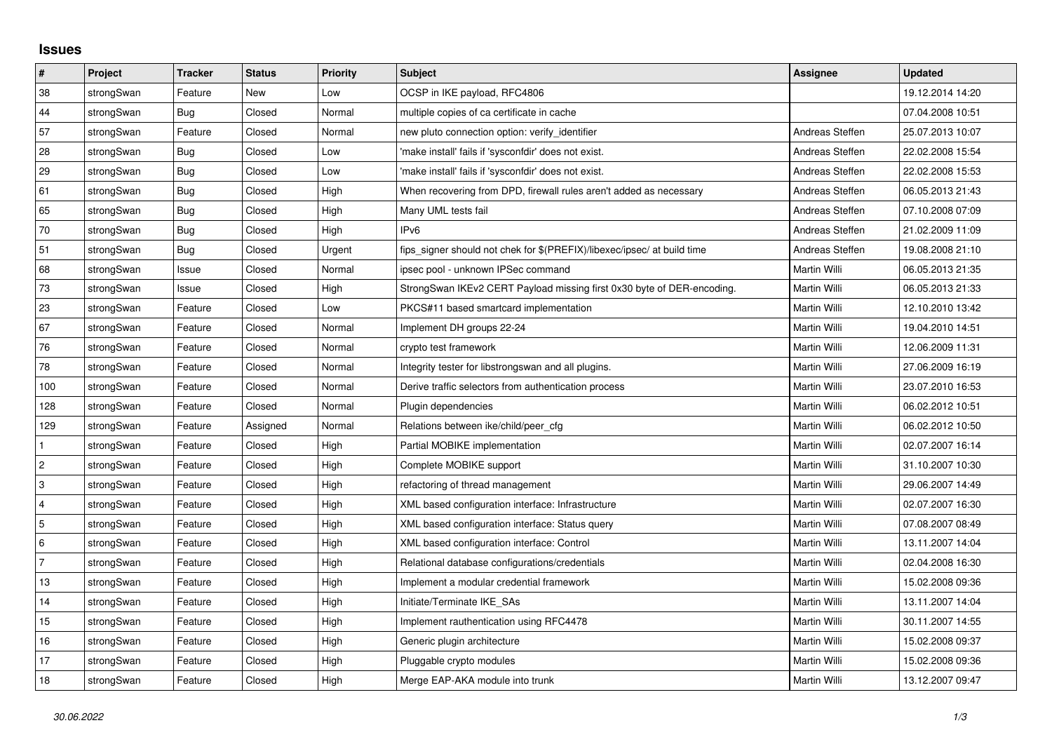## **Issues**

| $\vert$ #               | Project    | <b>Tracker</b> | <b>Status</b> | Priority | <b>Subject</b>                                                          | <b>Assignee</b> | <b>Updated</b>   |
|-------------------------|------------|----------------|---------------|----------|-------------------------------------------------------------------------|-----------------|------------------|
| 38                      | strongSwan | Feature        | New           | Low      | OCSP in IKE payload, RFC4806                                            |                 | 19.12.2014 14:20 |
| 44                      | strongSwan | <b>Bug</b>     | Closed        | Normal   | multiple copies of ca certificate in cache                              |                 | 07.04.2008 10:51 |
| 57                      | strongSwan | Feature        | Closed        | Normal   | new pluto connection option: verify_identifier                          | Andreas Steffen | 25.07.2013 10:07 |
| 28                      | strongSwan | Bug            | Closed        | Low      | 'make install' fails if 'sysconfdir' does not exist.                    | Andreas Steffen | 22.02.2008 15:54 |
| 29                      | strongSwan | Bug            | Closed        | Low      | 'make install' fails if 'sysconfdir' does not exist.                    | Andreas Steffen | 22.02.2008 15:53 |
| 61                      | strongSwan | <b>Bug</b>     | Closed        | High     | When recovering from DPD, firewall rules aren't added as necessary      | Andreas Steffen | 06.05.2013 21:43 |
| 65                      | strongSwan | Bug            | Closed        | High     | Many UML tests fail                                                     | Andreas Steffen | 07.10.2008 07:09 |
| 70                      | strongSwan | Bug            | Closed        | High     | IP <sub>v6</sub>                                                        | Andreas Steffen | 21.02.2009 11:09 |
| 51                      | strongSwan | <b>Bug</b>     | Closed        | Urgent   | fips signer should not chek for \$(PREFIX)/libexec/ipsec/ at build time | Andreas Steffen | 19.08.2008 21:10 |
| 68                      | strongSwan | Issue          | Closed        | Normal   | ipsec pool - unknown IPSec command                                      | Martin Willi    | 06.05.2013 21:35 |
| 73                      | strongSwan | Issue          | Closed        | High     | StrongSwan IKEv2 CERT Payload missing first 0x30 byte of DER-encoding.  | Martin Willi    | 06.05.2013 21:33 |
| 23                      | strongSwan | Feature        | Closed        | Low      | PKCS#11 based smartcard implementation                                  | Martin Willi    | 12.10.2010 13:42 |
| 67                      | strongSwan | Feature        | Closed        | Normal   | Implement DH groups 22-24                                               | Martin Willi    | 19.04.2010 14:51 |
| 76                      | strongSwan | Feature        | Closed        | Normal   | crypto test framework                                                   | Martin Willi    | 12.06.2009 11:31 |
| 78                      | strongSwan | Feature        | Closed        | Normal   | Integrity tester for libstrongswan and all plugins.                     | Martin Willi    | 27.06.2009 16:19 |
| 100                     | strongSwan | Feature        | Closed        | Normal   | Derive traffic selectors from authentication process                    | Martin Willi    | 23.07.2010 16:53 |
| 128                     | strongSwan | Feature        | Closed        | Normal   | Plugin dependencies                                                     | Martin Willi    | 06.02.2012 10:51 |
| 129                     | strongSwan | Feature        | Assigned      | Normal   | Relations between ike/child/peer cfg                                    | Martin Willi    | 06.02.2012 10:50 |
| $\mathbf{1}$            | strongSwan | Feature        | Closed        | High     | Partial MOBIKE implementation                                           | Martin Willi    | 02.07.2007 16:14 |
| $\sqrt{2}$              | strongSwan | Feature        | Closed        | High     | Complete MOBIKE support                                                 | Martin Willi    | 31.10.2007 10:30 |
| $\mathsf 3$             | strongSwan | Feature        | Closed        | High     | refactoring of thread management                                        | Martin Willi    | 29.06.2007 14:49 |
| $\overline{\mathbf{4}}$ | strongSwan | Feature        | Closed        | High     | XML based configuration interface: Infrastructure                       | Martin Willi    | 02.07.2007 16:30 |
| $\overline{5}$          | strongSwan | Feature        | Closed        | High     | XML based configuration interface: Status query                         | Martin Willi    | 07.08.2007 08:49 |
| $\,6\,$                 | strongSwan | Feature        | Closed        | High     | XML based configuration interface: Control                              | Martin Willi    | 13.11.2007 14:04 |
| $\overline{7}$          | strongSwan | Feature        | Closed        | High     | Relational database configurations/credentials                          | Martin Willi    | 02.04.2008 16:30 |
| $13$                    | strongSwan | Feature        | Closed        | High     | Implement a modular credential framework                                | Martin Willi    | 15.02.2008 09:36 |
| 14                      | strongSwan | Feature        | Closed        | High     | Initiate/Terminate IKE_SAs                                              | Martin Willi    | 13.11.2007 14:04 |
| 15                      | strongSwan | Feature        | Closed        | High     | Implement rauthentication using RFC4478                                 | Martin Willi    | 30.11.2007 14:55 |
| 16                      | strongSwan | Feature        | Closed        | High     | Generic plugin architecture                                             | Martin Willi    | 15.02.2008 09:37 |
| 17                      | strongSwan | Feature        | Closed        | High     | Pluggable crypto modules                                                | Martin Willi    | 15.02.2008 09:36 |
| 18                      | strongSwan | Feature        | Closed        | High     | Merge EAP-AKA module into trunk                                         | Martin Willi    | 13.12.2007 09:47 |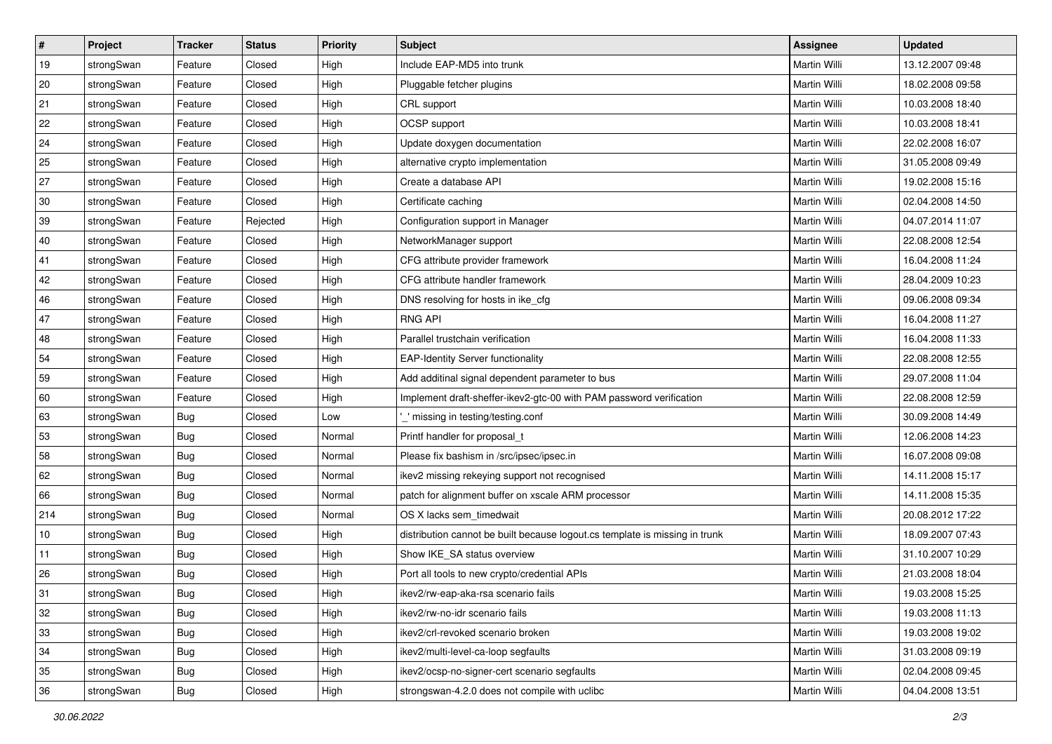| $\vert$ # | Project    | <b>Tracker</b> | <b>Status</b> | <b>Priority</b> | <b>Subject</b>                                                              | <b>Assignee</b>     | <b>Updated</b>   |
|-----------|------------|----------------|---------------|-----------------|-----------------------------------------------------------------------------|---------------------|------------------|
| 19        | strongSwan | Feature        | Closed        | High            | Include EAP-MD5 into trunk                                                  | Martin Willi        | 13.12.2007 09:48 |
| 20        | strongSwan | Feature        | Closed        | High            | Pluggable fetcher plugins                                                   | <b>Martin Willi</b> | 18.02.2008 09:58 |
| 21        | strongSwan | Feature        | Closed        | High            | CRL support                                                                 | Martin Willi        | 10.03.2008 18:40 |
| 22        | strongSwan | Feature        | Closed        | High            | OCSP support                                                                | Martin Willi        | 10.03.2008 18:41 |
| 24        | strongSwan | Feature        | Closed        | High            | Update doxygen documentation                                                | Martin Willi        | 22.02.2008 16:07 |
| 25        | strongSwan | Feature        | Closed        | High            | alternative crypto implementation                                           | Martin Willi        | 31.05.2008 09:49 |
| 27        | strongSwan | Feature        | Closed        | High            | Create a database API                                                       | Martin Willi        | 19.02.2008 15:16 |
| 30        | strongSwan | Feature        | Closed        | High            | Certificate caching                                                         | Martin Willi        | 02.04.2008 14:50 |
| 39        | strongSwan | Feature        | Rejected      | High            | Configuration support in Manager                                            | Martin Willi        | 04.07.2014 11:07 |
| 40        | strongSwan | Feature        | Closed        | High            | NetworkManager support                                                      | Martin Willi        | 22.08.2008 12:54 |
| 41        | strongSwan | Feature        | Closed        | High            | CFG attribute provider framework                                            | Martin Willi        | 16.04.2008 11:24 |
| 42        | strongSwan | Feature        | Closed        | High            | CFG attribute handler framework                                             | Martin Willi        | 28.04.2009 10:23 |
| 46        | strongSwan | Feature        | Closed        | High            | DNS resolving for hosts in ike_cfg                                          | <b>Martin Willi</b> | 09.06.2008 09:34 |
| 47        | strongSwan | Feature        | Closed        | High            | <b>RNG API</b>                                                              | Martin Willi        | 16.04.2008 11:27 |
| 48        | strongSwan | Feature        | Closed        | High            | Parallel trustchain verification                                            | <b>Martin Willi</b> | 16.04.2008 11:33 |
| 54        | strongSwan | Feature        | Closed        | High            | <b>EAP-Identity Server functionality</b>                                    | Martin Willi        | 22.08.2008 12:55 |
| 59        | strongSwan | Feature        | Closed        | High            | Add additinal signal dependent parameter to bus                             | <b>Martin Willi</b> | 29.07.2008 11:04 |
| 60        | strongSwan | Feature        | Closed        | High            | Implement draft-sheffer-ikev2-gtc-00 with PAM password verification         | Martin Willi        | 22.08.2008 12:59 |
| 63        | strongSwan | <b>Bug</b>     | Closed        | Low             | missing in testing/testing.conf                                             | Martin Willi        | 30.09.2008 14:49 |
| 53        | strongSwan | <b>Bug</b>     | Closed        | Normal          | Printf handler for proposal_t                                               | Martin Willi        | 12.06.2008 14:23 |
| 58        | strongSwan | <b>Bug</b>     | Closed        | Normal          | Please fix bashism in /src/ipsec/ipsec.in                                   | Martin Willi        | 16.07.2008 09:08 |
| 62        | strongSwan | <b>Bug</b>     | Closed        | Normal          | ikev2 missing rekeying support not recognised                               | Martin Willi        | 14.11.2008 15:17 |
| 66        | strongSwan | Bug            | Closed        | Normal          | patch for alignment buffer on xscale ARM processor                          | Martin Willi        | 14.11.2008 15:35 |
| 214       | strongSwan | Bug            | Closed        | Normal          | OS X lacks sem timedwait                                                    | Martin Willi        | 20.08.2012 17:22 |
| 10        | strongSwan | <b>Bug</b>     | Closed        | High            | distribution cannot be built because logout.cs template is missing in trunk | Martin Willi        | 18.09.2007 07:43 |
| 11        | strongSwan | Bug            | Closed        | High            | Show IKE_SA status overview                                                 | Martin Willi        | 31.10.2007 10:29 |
| 26        | strongSwan | Bug            | Closed        | High            | Port all tools to new crypto/credential APIs                                | Martin Willi        | 21.03.2008 18:04 |
| 31        | strongSwan | Bug            | Closed        | High            | ikev2/rw-eap-aka-rsa scenario fails                                         | Martin Willi        | 19.03.2008 15:25 |
| 32        | strongSwan | Bug            | Closed        | High            | ikev2/rw-no-idr scenario fails                                              | Martin Willi        | 19.03.2008 11:13 |
| 33        | strongSwan | Bug            | Closed        | High            | ikev2/crl-revoked scenario broken                                           | Martin Willi        | 19.03.2008 19:02 |
| 34        | strongSwan | <b>Bug</b>     | Closed        | High            | ikev2/multi-level-ca-loop segfaults                                         | Martin Willi        | 31.03.2008 09:19 |
| 35        | strongSwan | Bug            | Closed        | High            | ikev2/ocsp-no-signer-cert scenario segfaults                                | Martin Willi        | 02.04.2008 09:45 |
| 36        | strongSwan | <b>Bug</b>     | Closed        | High            | strongswan-4.2.0 does not compile with uclibc                               | Martin Willi        | 04.04.2008 13:51 |